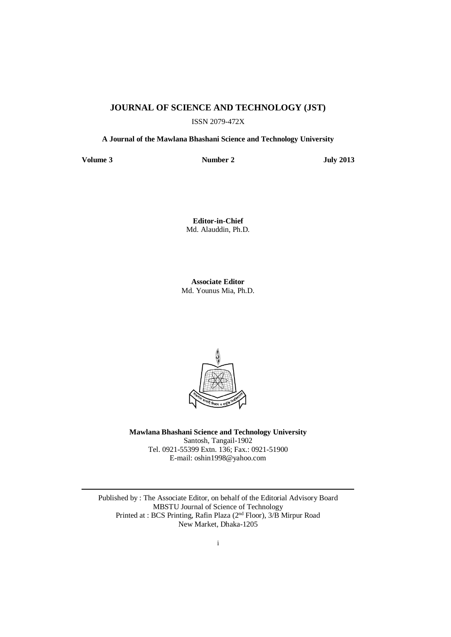## **JOURNAL OF SCIENCE AND TECHNOLOGY (JST)**

ISSN 2079-472X

**A Journal of the Mawlana Bhashani Science and Technology University**

**Volume 3 Number 2 July 2013**

**Editor-in-Chief** Md. Alauddin, Ph.D.

**Associate Editor** Md. Younus Mia, Ph.D.



**Mawlana Bhashani Science and Technology University** Santosh, Tangail-1902 Tel. 0921-55399 Extn. 136; Fax.: 0921-51900 E-mail[: oshin1998@yahoo.com](mailto:oshin1996@yahoo.com)

Published by : The Associate Editor, on behalf of the Editorial Advisory Board MBSTU Journal of Science of Technology Printed at : BCS Printing, Rafin Plaza (2<sup>nd</sup> Floor), 3/B Mirpur Road New Market, Dhaka-1205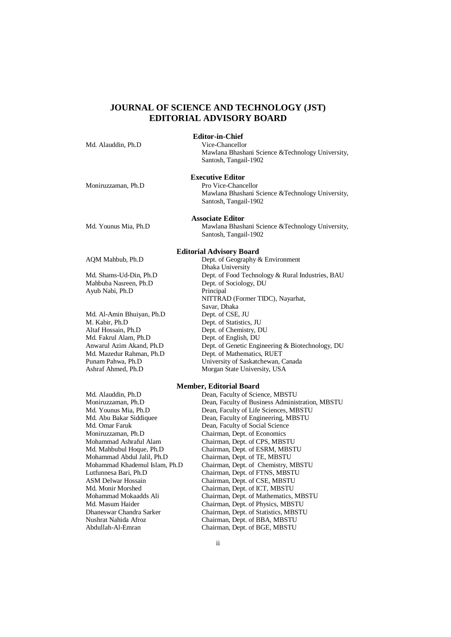# **JOURNAL OF SCIENCE AND TECHNOLOGY (JST) EDITORIAL ADVISORY BOARD**

| Md. Alauddin, Ph.D                            | <b>Editor-in-Chief</b><br>Vice-Chancellor                                                                              |
|-----------------------------------------------|------------------------------------------------------------------------------------------------------------------------|
|                                               | Mawlana Bhashani Science & Technology University,<br>Santosh, Tangail-1902                                             |
|                                               | <b>Executive Editor</b>                                                                                                |
| Moniruzzaman, Ph.D                            | Pro Vice-Chancellor                                                                                                    |
|                                               | Mawlana Bhashani Science & Technology University,<br>Santosh, Tangail-1902                                             |
|                                               | <b>Associate Editor</b>                                                                                                |
| Md. Younus Mia, Ph.D                          | Mawlana Bhashani Science & Technology University,                                                                      |
|                                               | Santosh, Tangail-1902                                                                                                  |
|                                               | <b>Editorial Advisory Board</b>                                                                                        |
| AQM Mahbub, Ph.D                              | Dept. of Geography & Environment                                                                                       |
|                                               | Dhaka University                                                                                                       |
| Md. Shams-Ud-Din, Ph.D                        | Dept. of Food Technology & Rural Industries, BAU                                                                       |
| Mahbuba Nasreen, Ph.D                         | Dept. of Sociology, DU                                                                                                 |
| Ayub Nabi, Ph.D                               | Principal                                                                                                              |
|                                               | NITTRAD (Former TIDC), Nayarhat,                                                                                       |
|                                               | Savar, Dhaka                                                                                                           |
| Md. Al-Amin Bhuiyan, Ph.D                     | Dept. of CSE, JU                                                                                                       |
| M. Kabir, Ph.D                                | Dept. of Statistics, JU                                                                                                |
| Altaf Hossain, Ph.D                           | Dept. of Chemistry, DU                                                                                                 |
| Md. Fakrul Alam, Ph.D                         | Dept. of English, DU                                                                                                   |
| $\lambda = 1 \lambda$ , $\lambda = 1 \lambda$ | $D_{\text{max}}$ $D_{\text{max}}$ $D_{\text{max}}$ $D_{\text{max}}$ $D_{\text{max}}$ $D_{\text{max}}$ $D_{\text{max}}$ |

Anwarul Azim Akand, Ph.D Dept. of Genetic Engineering & Biotechnology, DU Md. Mazedur Rahman, Ph.D Dept. of Mathematics, RUET Md. Mazedur Rahman, Ph.D Dept. of Mathematics, RUET<br>
Punam Pahwa. Ph.D University of Saskatchewan. University of Saskatchewan, Canada Ashraf Ahmed, Ph.D Morgan State University, USA

#### **Member, Editorial Board**

Md. Alauddin, Ph.D Dean, Faculty of Science, MBSTU<br>
Moniruzzaman, Ph.D Dean, Faculty of Business Adminis Moniruzzaman, Ph.D Dean, Faculty of Business Administration, MBSTU<br>Md. Younus Mia, Ph.D Dean, Faculty of Life Sciences, MBSTU Dean, Faculty of Life Sciences, MBSTU Md. Abu Bakar Siddiquee Dean, Faculty of Engineering, MBSTU<br>Md. Omar Faruk Dean, Faculty of Social Science Md. Omar Faruk Dean, Faculty of Social Science<br>
Moniruzzaman, Ph.D Chairman, Dept. of Economics Chairman, Dept. of Economics Mohammad Ashraful Alam Chairman, Dept. of CPS, MBSTU Md. Mahbubul Hoque, Ph.D Chairman, Dept. of ESRM, MBSTU Mohammad Abdul Jalil, Ph.D Chairman, Dept. of TE, MBSTU Mohammad Khademul Islam, Ph.D Chairman, Dept. of Chemistry, MBSTU Lutfunnesa Bari, Ph.D Chairman, Dept. of FTNS, MBSTU Chairman, Dept. of CSE, MBSTU Md. Monir Morshed Chairman, Dept. of ICT, MBSTU Mohammad Mokaadds Ali Chairman, Dept. of Mathematics, MBSTU Md. Masum Haider Chairman, Dept. of Physics, MBSTU<br>
Dhaneswar Chandra Sarker Chairman. Dept. of Statistics. MBSTU Chairman, Dept. of Statistics, MBSTU Nushrat Nahida Afroz Chairman, Dept. of BBA, MBSTU Chairman, Dept. of BGE, MBSTU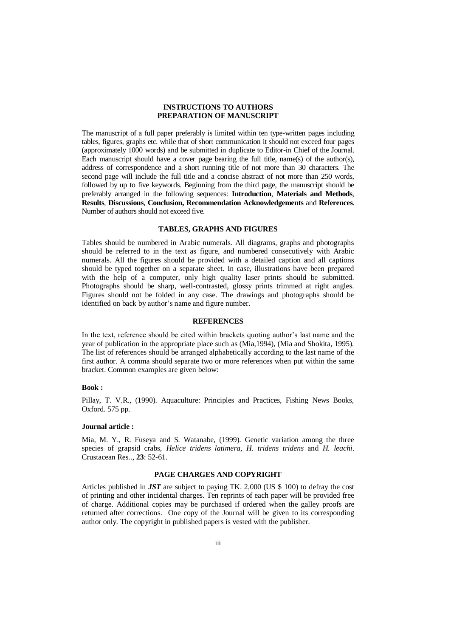### **INSTRUCTIONS TO AUTHORS PREPARATION OF MANUSCRIPT**

The manuscript of a full paper preferably is limited within ten type-written pages including tables, figures, graphs etc. while that of short communication it should not exceed four pages (approximately 1000 words) and be submitted in duplicate to Editor-in Chief of the Journal. Each manuscript should have a cover page bearing the full title, name(s) of the author(s), address of correspondence and a short running title of not more than 30 characters. The second page will include the full title and a concise abstract of not more than 250 words, followed by up to five keywords. Beginning from the third page, the manuscript should be preferably arranged in the following sequences: **Introduction**, **Materials and Methods**, **Results**, **Discussions**, **Conclusion, Recommendation Acknowledgements** and **References**. Number of authors should not exceed five.

### **TABLES, GRAPHS AND FIGURES**

Tables should be numbered in Arabic numerals. All diagrams, graphs and photographs should be referred to in the text as figure, and numbered consecutively with Arabic numerals. All the figures should be provided with a detailed caption and all captions should be typed together on a separate sheet. In case, illustrations have been prepared with the help of a computer, only high quality laser prints should be submitted. Photographs should be sharp, well-contrasted, glossy prints trimmed at right angles. Figures should not be folded in any case. The drawings and photographs should be identified on back by author's name and figure number.

### **REFERENCES**

In the text, reference should be cited within brackets quoting author's last name and the year of publication in the appropriate place such as (Mia,1994), (Mia and Shokita, 1995). The list of references should be arranged alphabetically according to the last name of the first author. A comma should separate two or more references when put within the same bracket. Common examples are given below:

#### **Book :**

Pillay, T. V.R., (1990). Aquaculture: Principles and Practices, Fishing News Books, Oxford. 575 pp.

#### **Journal article :**

Mia, M. Y., R. Fuseya and S. Watanabe, (1999). Genetic variation among the three species of grapsid crabs, *Helice tridens latimera*, *H. tridens tridens* and *H. leachi*. Crustacean Res*.*., **23**: 52-61.

#### **PAGE CHARGES AND COPYRIGHT**

Articles published in *JST* are subject to paying TK. 2,000 (US \$ 100) to defray the cost of printing and other incidental charges. Ten reprints of each paper will be provided free of charge. Additional copies may be purchased if ordered when the galley proofs are returned after corrections. One copy of the Journal will be given to its corresponding author only. The copyright in published papers is vested with the publisher.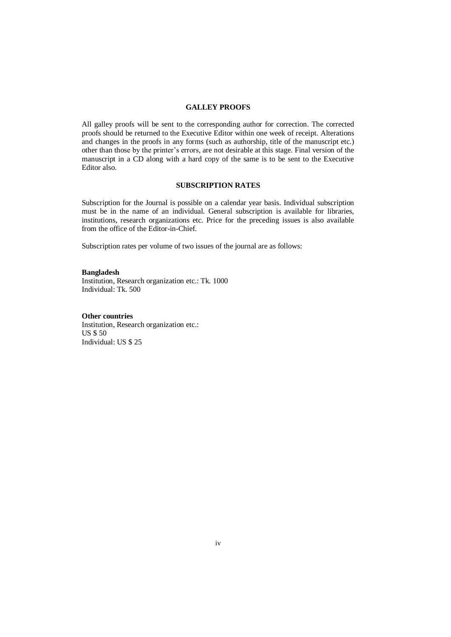### **GALLEY PROOFS**

All galley proofs will be sent to the corresponding author for correction. The corrected proofs should be returned to the Executive Editor within one week of receipt. Alterations and changes in the proofs in any forms (such as authorship, title of the manuscript etc.) other than those by the printer's errors, are not desirable at this stage. Final version of the manuscript in a CD along with a hard copy of the same is to be sent to the Executive Editor also.

### **SUBSCRIPTION RATES**

Subscription for the Journal is possible on a calendar year basis. Individual subscription must be in the name of an individual. General subscription is available for libraries, institutions, research organizations etc. Price for the preceding issues is also available from the office of the Editor-in-Chief.

Subscription rates per volume of two issues of the journal are as follows:

#### **Bangladesh**

Institution, Research organization etc.: Tk. 1000 Individual: Tk. 500

#### **Other countries**

Institution, Research organization etc.: US \$ 50 Individual: US \$ 25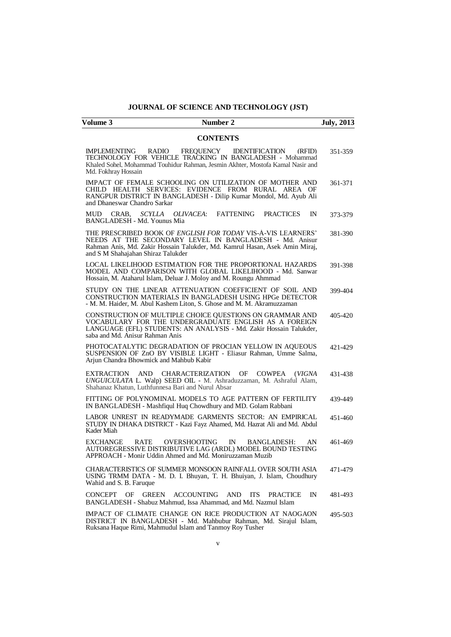## **JOURNAL OF SCIENCE AND TECHNOLOGY (JST)**

| Number 2<br>Volume 3                                                                                                                                                                                                                                | <b>July, 2013</b> |
|-----------------------------------------------------------------------------------------------------------------------------------------------------------------------------------------------------------------------------------------------------|-------------------|
| <b>CONTENTS</b>                                                                                                                                                                                                                                     |                   |
| <b>IMPLEMENTING</b><br>RADIO<br>FREQUENCY<br>IDENTIFICATION<br>(RFID)<br>TECHNOLOGY FOR VEHICLE TRACKING IN BANGLADESH - Mohammad<br>Khaled Sohel, Mohammad Touhidur Rahman, Jesmin Akhter, Mostofa Kamal Nasir and<br>Md. Fokhray Hossain          | 351-359           |
| IMPACT OF FEMALE SCHOOLING ON UTILIZATION OF MOTHER AND<br>CHILD HEALTH SERVICES: EVIDENCE FROM RURAL AREA OF<br>RANGPUR DISTRICT IN BANGLADESH - Dilip Kumar Mondol, Md. Ayub Ali<br>and Dhaneswar Chandro Sarkar                                  | 361-371           |
| <b>FATTENING</b><br>CRAB.<br>SCYLLA<br>OLIVACEA:<br><b>PRACTICES</b><br><b>MUD</b><br>$_{\rm IN}$<br>BANGLADESH - Md. Younus Mia                                                                                                                    | 373-379           |
| THE PRESCRIBED BOOK OF <i>ENGLISH FOR TODAY</i> VIS-A-VIS LEARNERS'<br>NEEDS AT THE SECONDARY LEVEL IN BANGLADESH - Md. Anisur<br>Rahman Anis, Md. Zakir Hossain Talukder, Md. Kamrul Hasan, Asek Amin Miraj,<br>and S M Shahajahan Shiraz Talukder | 381-390           |
| LOCAL LIKELIHOOD ESTIMATION FOR THE PROPORTIONAL HAZARDS<br>MODEL AND COMPARISON WITH GLOBAL LIKELIHOOD - Md. Sanwar<br>Hossain, M. Ataharul Islam, Deluar J. Moloy and M. Roungu Ahmmad                                                            | 391-398           |
| STUDY ON THE LINEAR ATTENUATION COEFFICIENT OF SOIL AND<br>CONSTRUCTION MATERIALS IN BANGLADESH USING HPGe DETECTOR<br>- M. M. Haider, M. Abul Kashem Liton, S. Ghose and M. M. Akramuzzaman                                                        | 399-404           |
| CONSTRUCTION OF MULTIPLE CHOICE QUESTIONS ON GRAMMAR AND<br>VOCABULARY FOR THE UNDERGRADUATE ENGLISH AS A FOREIGN<br>LANGUAGE (EFL) STUDENTS: AN ANALYSIS - Md. Zakir Hossain Talukder,<br>saba and Md. Anisur Rahman Anis                          | 405-420           |
| PHOTOCATALYTIC DEGRADATION OF PROCIAN YELLOW IN AQUEOUS<br>SUSPENSION OF ZnO BY VISIBLE LIGHT - Eliasur Rahman, Umme Salma,<br>Arjun Chandra Bhowmick and Mahbub Kabir                                                                              | 421-429           |
| <b>EXTRACTION</b><br><b>CHARACTERIZATION</b><br>OF<br>AND<br><b>COWPEA</b><br>(VIGNA)<br>UNGUICULATA L. Walp) SEED OIL - M. Ashraduzzaman, M. Ashraful Alam,<br>Shahanaz Khatun, Luthfunnesa Bari and Nurul Absar                                   | 431-438           |
| FITTING OF POLYNOMINAL MODELS TO AGE PATTERN OF FERTILITY<br>IN BANGLADESH - Mashfiqul Huq Chowdhury and MD. Golam Rabbani                                                                                                                          | 439-449           |
| LABOR UNREST IN READYMADE GARMENTS SECTOR: AN EMPIRICAL<br>STUDY IN DHAKA DISTRICT - Kazi Fayz Ahamed, Md. Hazrat Ali and Md. Abdul<br>Kader Miah                                                                                                   | 451-460           |
| <b>OVERSHOOTING</b><br>EXCHANGE<br>RATE<br>$\mathbb{N}$<br>BANGLADESH:<br>AN<br>AUTOREGRESSIVE DISTRIBUTIVE LAG (ARDL) MODEL BOUND TESTING<br>APPROACH - Monir Uddin Ahmed and Md. Moniruzzaman Muzib                                               | 461-469           |
| CHARACTERISTICS OF SUMMER MONSOON RAINFALL OVER SOUTH ASIA<br>USING TRMM DATA - M. D. I. Bhuyan, T. H. Bhuiyan, J. Islam, Choudhury<br>Wahid and S. B. Faruque                                                                                      | 471-479           |
| <b>ACCOUNTING</b><br><b>CONCEPT</b><br>OF<br><b>GREEN</b><br><b>AND</b><br><b>ITS</b><br><b>PRACTICE</b><br>$\mathbb{N}$<br>BANGLADESH - Shabuz Mahmud, Issa Ahammad, and Md. Nazmul Islam                                                          | 481-493           |
| IMPACT OF CLIMATE CHANGE ON RICE PRODUCTION AT NAOGAON<br>DISTRICT IN BANGLADESH - Md. Mahbubur Rahman, Md. Sirajul Islam,<br>Ruksana Haque Rimi, Mahmudul Islam and Tanmoy Roy Tusher                                                              | 495-503           |